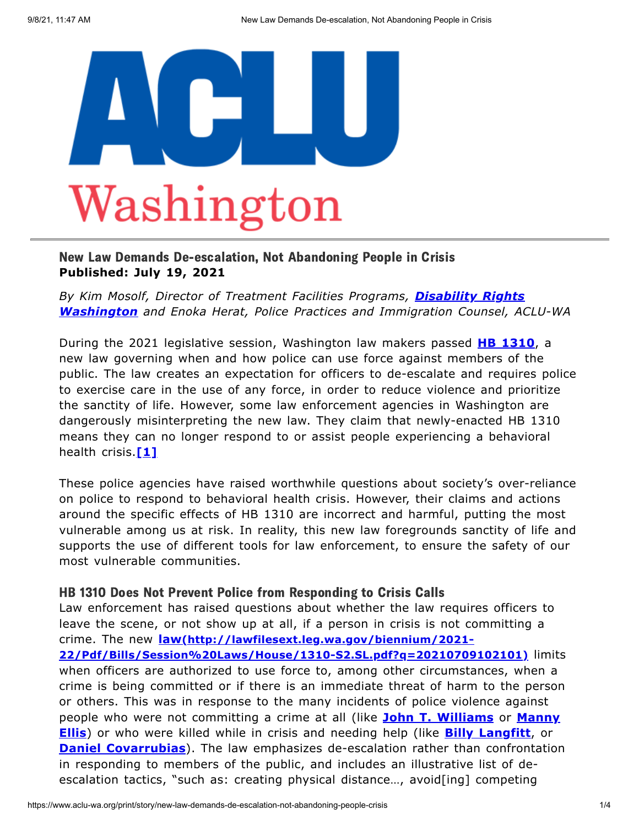

# New Law Demands De-escalation, Not Abandoning People in Crisis **Published: July 19, 2021**

## *By Kim Mosolf, Director of Treatment Facilities Programs, Disability Rights [Washington](https://www.disabilityrightswa.org/) and Enoka Herat, Police Practices and Immigration Counsel, ACLU-WA*

During the 2021 legislative session, Washington law makers passed **HB [1310](https://www.aclu-wa.org/story/exploring-divestmentreinvestment-approach-policing-aclu-wa-blog-series-2)**, a new law governing when and how police can use force against members of the public. The law creates an expectation for officers to de-escalate and requires police to exercise care in the use of any force, in order to reduce violence and prioritize the sanctity of life. However, some law enforcement agencies in Washington are dangerously misinterpreting the new law. They claim that newly-enacted HB 1310 means they can no longer respond to or assist people experiencing a behavioral health crisis.**[\[1\]](#page-3-0)**

<span id="page-0-0"></span>These police agencies have raised worthwhile questions about society's over-reliance on police to respond to behavioral health crisis. However, their claims and actions around the specific effects of HB 1310 are incorrect and harmful, putting the most vulnerable among us at risk. In reality, this new law foregrounds sanctity of life and supports the use of different tools for law enforcement, to ensure the safety of our most vulnerable communities.

### HB 1310 Does Not Prevent Police from Responding to Crisis Calls

Law enforcement has raised questions about whether the law requires officers to leave the scene, or not show up at all, if a person in crisis is not committing a crime. The new **law(http://lawfilesext.leg.wa.gov/biennium/2021- [22/Pdf/Bills/Session%20Laws/House/1310-S2.SL.pdf?q=20210709102101\)](http://lawfilesext.leg.wa.gov/biennium/2021-22/Pdf/Bills/Session%20Laws/House/1310-S2.SL.pdf?q=20210709102101)** limits when officers are authorized to use force to, among other circumstances, when a crime is being committed or if there is an immediate threat of harm to the person or others. This was in response to the many incidents of police violence against people who were not [committing](https://www.nwpb.org/2021/05/27/murder-charges-filed-against-tacoma-police-officers-in-death-of-manuel-manny-ellis/) a crime at all (like **John T. [Williams](https://www.seattletimes.com/seattle-news/10-years-ago-a-police-officer-shot-woodcarver-john-t-williams-the-grief-reverberates-today/)** or **Manny Ellis**) or who were killed while in crisis and needing help (like **Billy [Langfitt](https://www.thenewstribune.com/news/local/article244442377.html)**, or **Daniel [Covarrubias](https://www.seattletimes.com/seattle-news/family-of-man-killed-by-police-while-holding-cellphone-files-federal-suit-against-lakewood/)**). The law emphasizes de-escalation rather than confrontation in responding to members of the public, and includes an illustrative list of deescalation tactics, "such as: creating physical distance…, avoid[ing] competing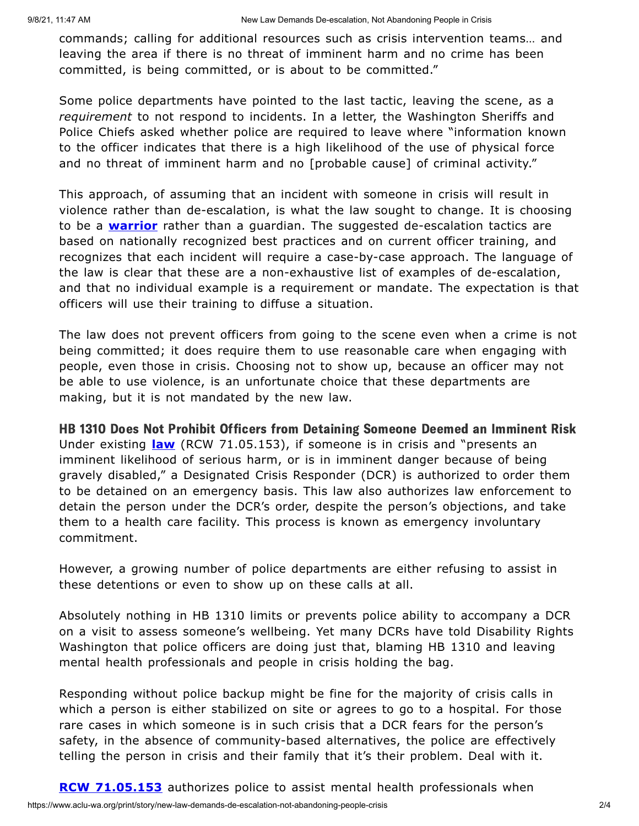commands; calling for additional resources such as crisis intervention teams… and leaving the area if there is no threat of imminent harm and no crime has been committed, is being committed, or is about to be committed."

Some police departments have pointed to the last tactic, leaving the scene, as a *requirement* to not respond to incidents. In a letter, the Washington Sheriffs and Police Chiefs asked whether police are required to leave where "information known to the officer indicates that there is a high likelihood of the use of physical force and no threat of imminent harm and no [probable cause] of criminal activity."

This approach, of assuming that an incident with someone in crisis will result in violence rather than de-escalation, is what the law sought to change. It is choosing to be a **[warrior](https://harvardlawreview.org/2015/04/law-enforcements-warrior-problem/)** rather than a guardian. The suggested de-escalation tactics are based on nationally recognized best practices and on current officer training, and recognizes that each incident will require a case-by-case approach. The language of the law is clear that these are a non-exhaustive list of examples of de-escalation, and that no individual example is a requirement or mandate. The expectation is that officers will use their training to diffuse a situation.

The law does not prevent officers from going to the scene even when a crime is not being committed; it does require them to use reasonable care when engaging with people, even those in crisis. Choosing not to show up, because an officer may not be able to use violence, is an unfortunate choice that these departments are making, but it is not mandated by the new law.

HB 1310 Does Not Prohibit Officers from Detaining Someone Deemed an Imminent Risk Under existing **[law](https://app.leg.wa.gov/rcw/default.aspx?cite=71.05.153)** (RCW 71.05.153), if someone is in crisis and "presents an imminent likelihood of serious harm, or is in imminent danger because of being gravely disabled," a Designated Crisis Responder (DCR) is authorized to order them to be detained on an emergency basis. This law also authorizes law enforcement to detain the person under the DCR's order, despite the person's objections, and take them to a health care facility. This process is known as emergency involuntary commitment.

However, a growing number of police departments are either refusing to assist in these detentions or even to show up on these calls at all.

Absolutely nothing in HB 1310 limits or prevents police ability to accompany a DCR on a visit to assess someone's wellbeing. Yet many DCRs have told Disability Rights Washington that police officers are doing just that, blaming HB 1310 and leaving mental health professionals and people in crisis holding the bag.

Responding without police backup might be fine for the majority of crisis calls in which a person is either stabilized on site or agrees to go to a hospital. For those rare cases in which someone is in such crisis that a DCR fears for the person's safety, in the absence of community-based alternatives, the police are effectively telling the person in crisis and their family that it's their problem. Deal with it.

**RCW [71.05.153](https://app.leg.wa.gov/rcw/default.aspx?cite=71.05.153)** authorizes police to assist mental health professionals when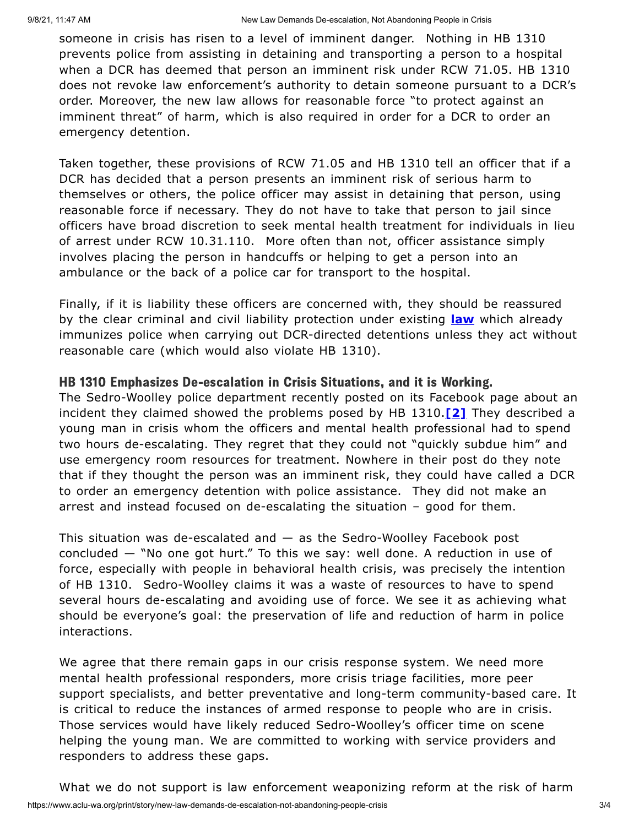someone in crisis has risen to a level of imminent danger. Nothing in HB 1310 prevents police from assisting in detaining and transporting a person to a hospital when a DCR has deemed that person an imminent risk under RCW 71.05. HB 1310 does not revoke law enforcement's authority to detain someone pursuant to a DCR's order. Moreover, the new law allows for reasonable force "to protect against an imminent threat" of harm, which is also required in order for a DCR to order an emergency detention.

Taken together, these provisions of RCW 71.05 and HB 1310 tell an officer that if a DCR has decided that a person presents an imminent risk of serious harm to themselves or others, the police officer may assist in detaining that person, using reasonable force if necessary. They do not have to take that person to jail since officers have broad discretion to seek mental health treatment for individuals in lieu of arrest under RCW 10.31.110. More often than not, officer assistance simply involves placing the person in handcuffs or helping to get a person into an ambulance or the back of a police car for transport to the hospital.

Finally, if it is liability these officers are concerned with, they should be reassured by the clear criminal and civil liability protection under existing **[law](https://app.leg.wa.gov/rcw/default.aspx?cite=71.05.120)** which already immunizes police when carrying out DCR-directed detentions unless they act without reasonable care (which would also violate HB 1310).

### HB 1310 Emphasizes De-escalation in Crisis Situations, and it is Working.

<span id="page-2-0"></span>The Sedro-Woolley police department recently posted on its Facebook page about an incident they claimed showed the problems posed by HB 1310.**[\[2\]](#page-3-1)** They described a young man in crisis whom the officers and mental health professional had to spend two hours de-escalating. They regret that they could not "quickly subdue him" and use emergency room resources for treatment. Nowhere in their post do they note that if they thought the person was an imminent risk, they could have called a DCR to order an emergency detention with police assistance. They did not make an arrest and instead focused on de-escalating the situation – good for them.

This situation was de-escalated and — as the Sedro-Woolley Facebook post concluded — "No one got hurt." To this we say: well done. A reduction in use of force, especially with people in behavioral health crisis, was precisely the intention of HB 1310. Sedro-Woolley claims it was a waste of resources to have to spend several hours de-escalating and avoiding use of force. We see it as achieving what should be everyone's goal: the preservation of life and reduction of harm in police interactions.

We agree that there remain gaps in our crisis response system. We need more mental health professional responders, more crisis triage facilities, more peer support specialists, and better preventative and long-term community-based care. It is critical to reduce the instances of armed response to people who are in crisis. Those services would have likely reduced Sedro-Woolley's officer time on scene helping the young man. We are committed to working with service providers and responders to address these gaps.

What we do not support is law enforcement weaponizing reform at the risk of harm